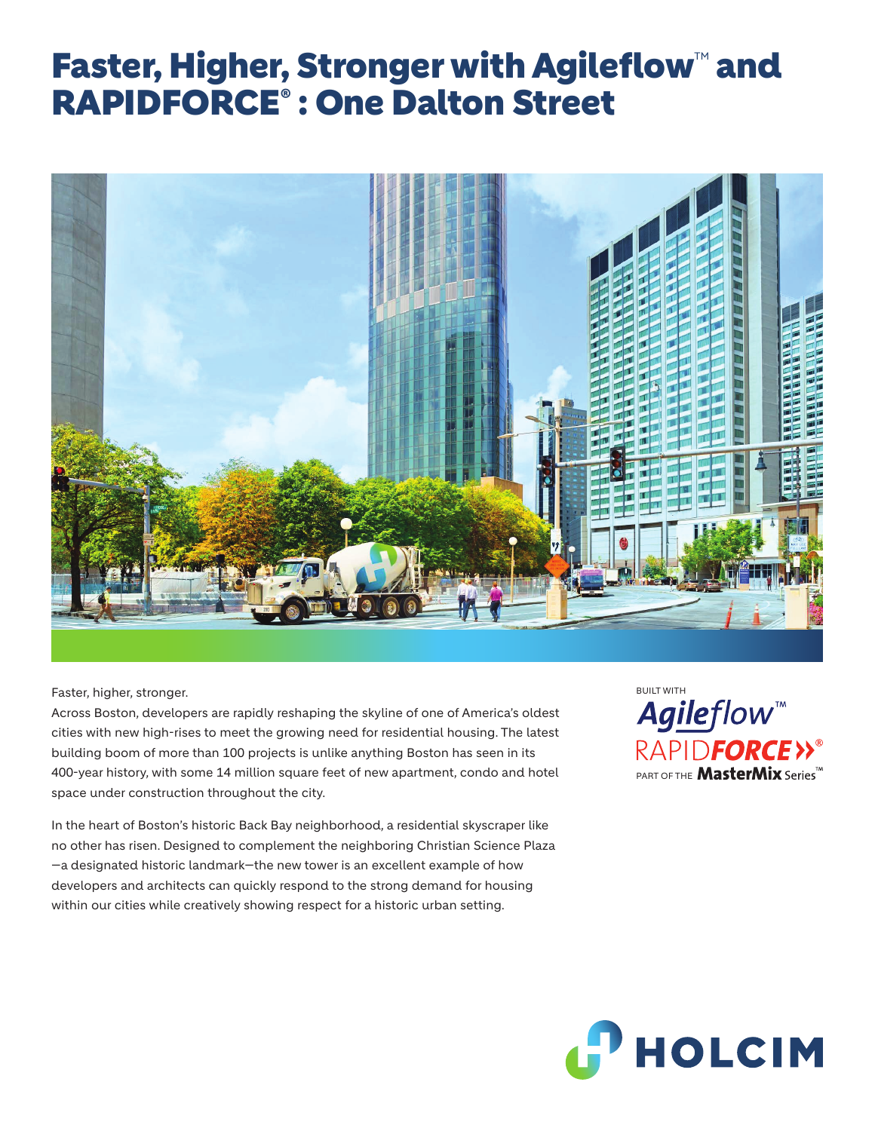## Faster, Higher, Stronger with Agileflow™ and RAPIDFORCE® : One Dalton Street



Faster, higher, stronger.

Across Boston, developers are rapidly reshaping the skyline of one of America's oldest cities with new high-rises to meet the growing need for residential housing. The latest building boom of more than 100 projects is unlike anything Boston has seen in its 400-year history, with some 14 million square feet of new apartment, condo and hotel space under construction throughout the city.

In the heart of Boston's historic Back Bay neighborhood, a residential skyscraper like no other has risen. Designed to complement the neighboring Christian Science Plaza —a designated historic landmark—the new tower is an excellent example of how developers and architects can quickly respond to the strong demand for housing within our cities while creatively showing respect for a historic urban setting.

BUILT WITHAgileflow<sup>\*\*</sup> RAPIDFORCE>>® PART OF THE **MasterMix** Series<sup>TM</sup>